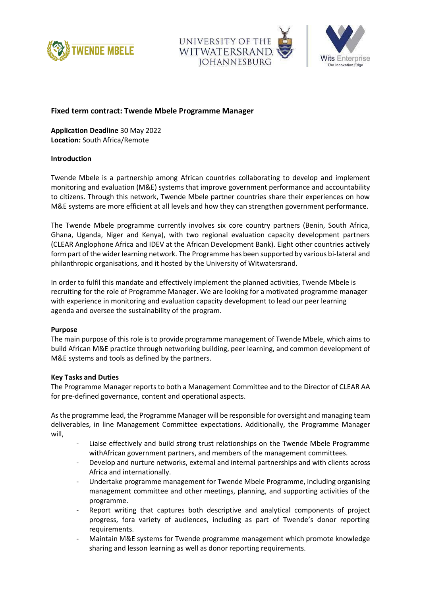





# **Fixed term contract: Twende Mbele Programme Manager**

**Application Deadline** 30 May 2022 **Location:** South Africa/Remote

# **Introduction**

Twende Mbele is a partnership among African countries collaborating to develop and implement monitoring and evaluation (M&E) systems that improve government performance and accountability to citizens. Through this network, Twende Mbele partner countries share their experiences on how M&E systems are more efficient at all levels and how they can strengthen government performance.

The Twende Mbele programme currently involves six core country partners (Benin, South Africa, Ghana, Uganda, Niger and Kenya), with two regional evaluation capacity development partners (CLEAR Anglophone Africa and IDEV at the African Development Bank). Eight other countries actively form part of the wider learning network. The Programme has been supported by various bi-lateral and philanthropic organisations, and it hosted by the University of Witwatersrand.

In order to fulfil this mandate and effectively implement the planned activities, Twende Mbele is recruiting for the role of Programme Manager. We are looking for a motivated programme manager with experience in monitoring and evaluation capacity development to lead our peer learning agenda and oversee the sustainability of the program.

## **Purpose**

The main purpose of this role is to provide programme management of Twende Mbele, which aims to build African M&E practice through networking building, peer learning, and common development of M&E systems and tools as defined by the partners.

## **Key Tasks and Duties**

The Programme Manager reports to both a Management Committee and to the Director of CLEAR AA for pre-defined governance, content and operational aspects.

As the programme lead, the Programme Manager will be responsible for oversight and managing team deliverables, in line Management Committee expectations. Additionally, the Programme Manager will,

- Liaise effectively and build strong trust relationships on the Twende Mbele Programme withAfrican government partners, and members of the management committees.
- Develop and nurture networks, external and internal partnerships and with clients across Africa and internationally.
- Undertake programme management for Twende Mbele Programme, including organising management committee and other meetings, planning, and supporting activities of the programme.
- Report writing that captures both descriptive and analytical components of project progress, fora variety of audiences, including as part of Twende's donor reporting requirements.
- Maintain M&E systems for Twende programme management which promote knowledge sharing and lesson learning as well as donor reporting requirements.